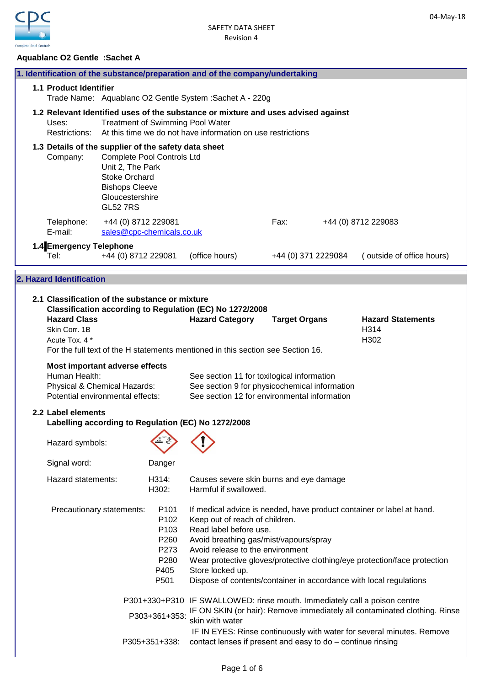

## **Aquablanc O2 Gentle :Sachet A**

|                                                        |                                                                                                                                                                                                                     |                                                                                      | 1. Identification of the substance/preparation and of the company/undertaking                                                                                                                                                                                                                             |                      |  |                                                                           |
|--------------------------------------------------------|---------------------------------------------------------------------------------------------------------------------------------------------------------------------------------------------------------------------|--------------------------------------------------------------------------------------|-----------------------------------------------------------------------------------------------------------------------------------------------------------------------------------------------------------------------------------------------------------------------------------------------------------|----------------------|--|---------------------------------------------------------------------------|
| 1.1 Product Identifier                                 |                                                                                                                                                                                                                     |                                                                                      | Trade Name: Aquablanc O2 Gentle System : Sachet A - 220g                                                                                                                                                                                                                                                  |                      |  |                                                                           |
| Uses:                                                  | 1.2 Relevant Identified uses of the substance or mixture and uses advised against<br><b>Treatment of Swimming Pool Water</b><br>At this time we do not have information on use restrictions<br><b>Restrictions:</b> |                                                                                      |                                                                                                                                                                                                                                                                                                           |                      |  |                                                                           |
|                                                        | 1.3 Details of the supplier of the safety data sheet<br>Complete Pool Controls Ltd<br>Company:<br>Unit 2, The Park<br><b>Stoke Orchard</b><br><b>Bishops Cleeve</b><br>Gloucestershire<br><b>GL52 7RS</b>           |                                                                                      |                                                                                                                                                                                                                                                                                                           |                      |  |                                                                           |
| Telephone:<br>E-mail:                                  | +44 (0) 8712 229081<br>sales@cpc-chemicals.co.uk                                                                                                                                                                    |                                                                                      |                                                                                                                                                                                                                                                                                                           | Fax:                 |  | +44 (0) 8712 229083                                                       |
| Tel:                                                   | 1.4 Emergency Telephone<br>+44 (0) 8712 229081                                                                                                                                                                      |                                                                                      | (office hours)                                                                                                                                                                                                                                                                                            | +44 (0) 371 2229084  |  | (outside of office hours)                                                 |
| 2. Hazard Identification                               |                                                                                                                                                                                                                     |                                                                                      |                                                                                                                                                                                                                                                                                                           |                      |  |                                                                           |
| <b>Hazard Class</b><br>Skin Corr. 1B<br>Acute Tox. 4 * | 2.1 Classification of the substance or mixture                                                                                                                                                                      |                                                                                      | Classification according to Regulation (EC) No 1272/2008<br><b>Hazard Category</b><br>For the full text of the H statements mentioned in this section see Section 16.                                                                                                                                     | <b>Target Organs</b> |  | <b>Hazard Statements</b><br>H314<br>H302                                  |
|                                                        | Most important adverse effects<br>Human Health:<br>Physical & Chemical Hazards:<br>Potential environmental effects:                                                                                                 |                                                                                      | See section 11 for toxilogical information<br>See section 9 for physicochemical information<br>See section 12 for environmental information                                                                                                                                                               |                      |  |                                                                           |
| 2.2 Label elements                                     | Labelling according to Regulation (EC) No 1272/2008                                                                                                                                                                 |                                                                                      |                                                                                                                                                                                                                                                                                                           |                      |  |                                                                           |
| Hazard symbols:                                        |                                                                                                                                                                                                                     | $\wedge$ $\wedge$                                                                    |                                                                                                                                                                                                                                                                                                           |                      |  |                                                                           |
| Signal word:                                           |                                                                                                                                                                                                                     | Danger                                                                               |                                                                                                                                                                                                                                                                                                           |                      |  |                                                                           |
|                                                        | Hazard statements:                                                                                                                                                                                                  | H314:<br>H302:                                                                       | Causes severe skin burns and eye damage<br>Harmful if swallowed.                                                                                                                                                                                                                                          |                      |  |                                                                           |
|                                                        | Precautionary statements:                                                                                                                                                                                           | P <sub>101</sub><br>P <sub>102</sub><br>P103<br>P260<br>P273<br>P280<br>P405<br>P501 | If medical advice is needed, have product container or label at hand.<br>Keep out of reach of children.<br>Read label before use.<br>Avoid breathing gas/mist/vapours/spray<br>Avoid release to the environment<br>Store locked up.<br>Dispose of contents/container in accordance with local regulations |                      |  | Wear protective gloves/protective clothing/eye protection/face protection |
|                                                        |                                                                                                                                                                                                                     | P303+361+353:                                                                        | P301+330+P310 IF SWALLOWED: rinse mouth. Immediately call a poison centre                                                                                                                                                                                                                                 |                      |  | IF ON SKIN (or hair): Remove immediately all contaminated clothing. Rinse |
|                                                        |                                                                                                                                                                                                                     | P305+351+338:                                                                        | skin with water<br>contact lenses if present and easy to do - continue rinsing                                                                                                                                                                                                                            |                      |  | IF IN EYES: Rinse continuously with water for several minutes. Remove     |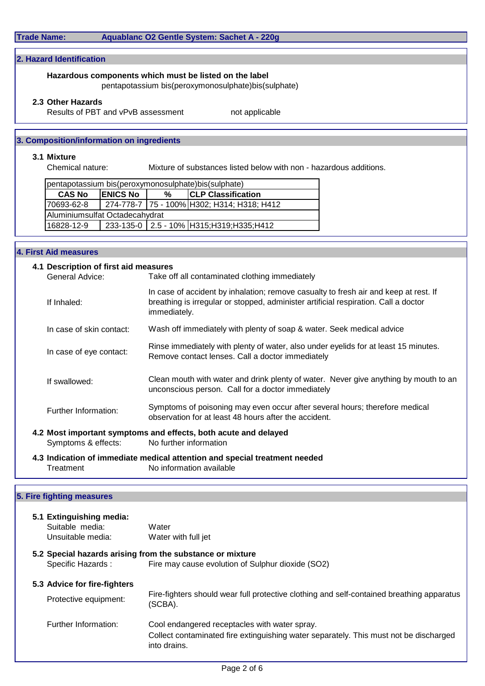# **Trade Name: Aquablanc O2 Gentle System: Sachet A - 220g**

## **2. Hazard Identification**

## **Hazardous components which must be listed on the label**

pentapotassium bis(peroxymonosulphate)bis(sulphate)

### **2.3 Other Hazards**

Results of PBT and vPvB assessment not applicable

## **3. Composition/information on ingredients**

## **3.1 Mixture**

Chemical nature: Mixture of substances listed below with non - hazardous additions.

| pentapotassium bis(peroxymonosulphate)bis(sulphate) |                 |   |                                            |  |  |
|-----------------------------------------------------|-----------------|---|--------------------------------------------|--|--|
| <b>CAS No</b>                                       | <b>ENICS No</b> | % | <b>CLP Classification</b>                  |  |  |
| 70693-62-8                                          |                 |   | 274-778-7 75 - 100% H302; H314; H318; H412 |  |  |
| Aluminiumsulfat Octadecahydrat                      |                 |   |                                            |  |  |
| 16828-12-9                                          |                 |   | 233-135-0 2.5 - 10% H315; H319; H335; H412 |  |  |
|                                                     |                 |   |                                            |  |  |

## **4. First Aid measures**

| 4.1 Description of first aid measures<br>General Advice: | Take off all contaminated clothing immediately                                                                                                                                              |
|----------------------------------------------------------|---------------------------------------------------------------------------------------------------------------------------------------------------------------------------------------------|
| If Inhaled:                                              | In case of accident by inhalation; remove casualty to fresh air and keep at rest. If<br>breathing is irregular or stopped, administer artificial respiration. Call a doctor<br>immediately. |
| In case of skin contact:                                 | Wash off immediately with plenty of soap & water. Seek medical advice                                                                                                                       |
| In case of eye contact:                                  | Rinse immediately with plenty of water, also under eyelids for at least 15 minutes.<br>Remove contact lenses. Call a doctor immediately                                                     |
| If swallowed:                                            | Clean mouth with water and drink plenty of water. Never give anything by mouth to an<br>unconscious person. Call for a doctor immediately                                                   |
| Further Information:                                     | Symptoms of poisoning may even occur after several hours; therefore medical<br>observation for at least 48 hours after the accident.                                                        |
| Symptoms & effects:                                      | 4.2 Most important symptoms and effects, both acute and delayed<br>No further information                                                                                                   |
| Treatment                                                | 4.3 Indication of immediate medical attention and special treatment needed<br>No information available                                                                                      |

| 5.1 Extinguishing media:     |                                                                                                       |
|------------------------------|-------------------------------------------------------------------------------------------------------|
| Suitable media:              | Water                                                                                                 |
| Unsuitable media:            | Water with full jet                                                                                   |
|                              | 5.2 Special hazards arising from the substance or mixture                                             |
| Specific Hazards:            | Fire may cause evolution of Sulphur dioxide (SO2)                                                     |
| 5.3 Advice for fire-fighters |                                                                                                       |
| Protective equipment:        | Fire-fighters should wear full protective clothing and self-contained breathing apparatus<br>(SCBA).  |
| Further Information:         | Cool endangered receptacles with water spray.                                                         |
|                              | Collect contaminated fire extinguishing water separately. This must not be discharged<br>into drains. |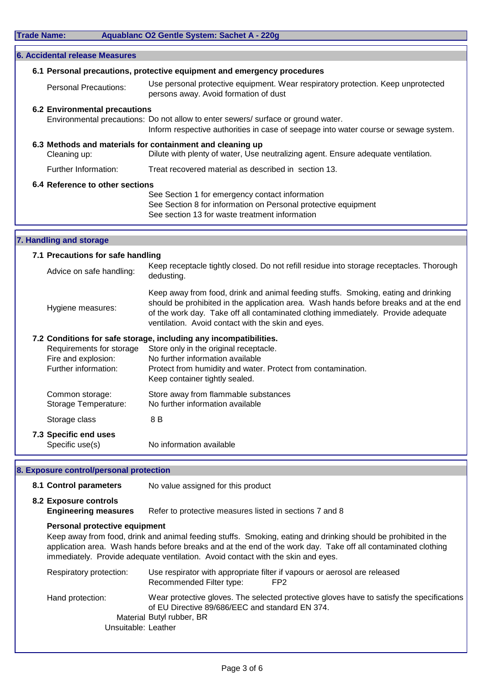|  | <b>Trade Name:</b> |
|--|--------------------|
|  |                    |

| <b>Trade Name:</b> |                                                                         | Aquablanc O2 Gentle System: Sachet A - 220g                                                                                                                                                                                                                                                                                          |
|--------------------|-------------------------------------------------------------------------|--------------------------------------------------------------------------------------------------------------------------------------------------------------------------------------------------------------------------------------------------------------------------------------------------------------------------------------|
|                    | 6. Accidental release Measures                                          |                                                                                                                                                                                                                                                                                                                                      |
|                    |                                                                         | 6.1 Personal precautions, protective equipment and emergency procedures                                                                                                                                                                                                                                                              |
|                    | <b>Personal Precautions:</b>                                            | Use personal protective equipment. Wear respiratory protection. Keep unprotected<br>persons away. Avoid formation of dust                                                                                                                                                                                                            |
|                    | <b>6.2 Environmental precautions</b>                                    | Environmental precautions: Do not allow to enter sewers/ surface or ground water.<br>Inform respective authorities in case of seepage into water course or sewage system.                                                                                                                                                            |
|                    | Cleaning up:                                                            | 6.3 Methods and materials for containment and cleaning up<br>Dilute with plenty of water, Use neutralizing agent. Ensure adequate ventilation.                                                                                                                                                                                       |
|                    | Further Information:                                                    | Treat recovered material as described in section 13.                                                                                                                                                                                                                                                                                 |
|                    | 6.4 Reference to other sections                                         | See Section 1 for emergency contact information<br>See Section 8 for information on Personal protective equipment<br>See section 13 for waste treatment information                                                                                                                                                                  |
|                    |                                                                         |                                                                                                                                                                                                                                                                                                                                      |
|                    | 7. Handling and storage                                                 |                                                                                                                                                                                                                                                                                                                                      |
|                    | 7.1 Precautions for safe handling<br>Advice on safe handling:           | Keep receptacle tightly closed. Do not refill residue into storage receptacles. Thorough                                                                                                                                                                                                                                             |
|                    | Hygiene measures:                                                       | dedusting.<br>Keep away from food, drink and animal feeding stuffs. Smoking, eating and drinking<br>should be prohibited in the application area. Wash hands before breaks and at the end<br>of the work day. Take off all contaminated clothing immediately. Provide adequate<br>ventilation. Avoid contact with the skin and eyes. |
|                    | Requirements for storage<br>Fire and explosion:<br>Further information: | 7.2 Conditions for safe storage, including any incompatibilities.<br>Store only in the original receptacle.<br>No further information available<br>Protect from humidity and water. Protect from contamination.<br>Keep container tightly sealed.                                                                                    |
|                    | Common storage:<br>Storage Temperature:                                 | Store away from flammable substances<br>No further information available                                                                                                                                                                                                                                                             |
|                    | Storage class                                                           | 8 B                                                                                                                                                                                                                                                                                                                                  |
|                    | 7.3 Specific end uses<br>Specific use(s)                                | No information available                                                                                                                                                                                                                                                                                                             |
|                    | 8. Exposure control/personal protection                                 |                                                                                                                                                                                                                                                                                                                                      |

8.1 **Control parameters** No value assigned for this product

**8.2 Exposure controls**

**Engineering measures** Refer to protective measures listed in sections 7 and 8

## **Personal protective equipment**

Keep away from food, drink and animal feeding stuffs. Smoking, eating and drinking should be prohibited in the application area. Wash hands before breaks and at the end of the work day. Take off all contaminated clothing immediately. Provide adequate ventilation. Avoid contact with the skin and eyes.

| Respiratory protection: | Use respirator with appropriate filter if vapours or aerosol are released<br>Recommended Filter type:<br>FP <sub>2</sub>                     |
|-------------------------|----------------------------------------------------------------------------------------------------------------------------------------------|
| Hand protection:        | Wear protective gloves. The selected protective gloves have to satisfy the specifications<br>of EU Directive 89/686/EEC and standard EN 374. |
|                         | Material Butyl rubber, BR                                                                                                                    |
| Unsuitable: Leather     |                                                                                                                                              |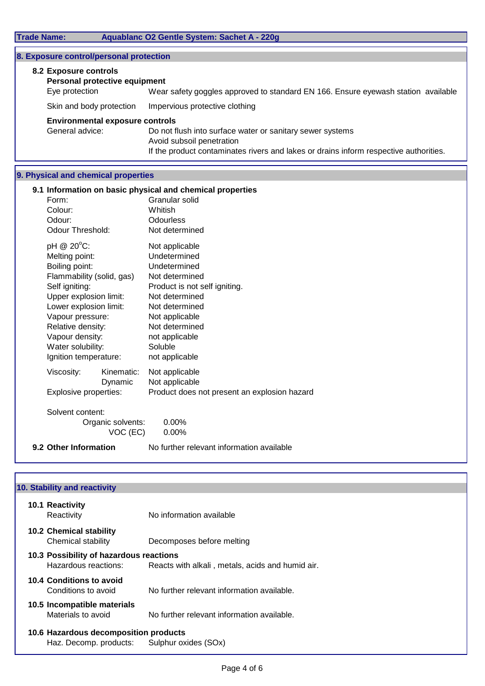|                                                    |                       | Wear safety goggles approved to standard EN 166. Ensure eyewash station available                                                                                                                                                                                                                                                                                                                                                                                                                                                    |
|----------------------------------------------------|-----------------------|--------------------------------------------------------------------------------------------------------------------------------------------------------------------------------------------------------------------------------------------------------------------------------------------------------------------------------------------------------------------------------------------------------------------------------------------------------------------------------------------------------------------------------------|
|                                                    |                       | Impervious protective clothing                                                                                                                                                                                                                                                                                                                                                                                                                                                                                                       |
|                                                    |                       | Do not flush into surface water or sanitary sewer systems<br>Avoid subsoil penetration<br>If the product contaminates rivers and lakes or drains inform respective authorities.                                                                                                                                                                                                                                                                                                                                                      |
|                                                    |                       |                                                                                                                                                                                                                                                                                                                                                                                                                                                                                                                                      |
| Form:<br>Colour:<br>Odour:                         |                       | 9.1 Information on basic physical and chemical properties<br>Granular solid<br>Whitish<br>Odourless<br>Not determined<br>Not applicable                                                                                                                                                                                                                                                                                                                                                                                              |
| Melting point:<br>Boiling point:<br>Self igniting: |                       | Undetermined<br>Undetermined<br>Not determined<br>Product is not self igniting.<br>Not determined<br>Not determined<br>Not applicable<br>Not determined<br>not applicable<br>Soluble<br>not applicable                                                                                                                                                                                                                                                                                                                               |
| Viscosity:                                         | Kinematic:<br>Dynamic | Not applicable<br>Not applicable<br>Product does not present an explosion hazard<br>0.00%                                                                                                                                                                                                                                                                                                                                                                                                                                            |
|                                                    | pH @ 20°C:            | 8. Exposure control/personal protection<br>8.2 Exposure controls<br>Personal protective equipment<br>Eye protection<br>Skin and body protection<br><b>Environmental exposure controls</b><br>General advice:<br>9. Physical and chemical properties<br>Odour Threshold:<br>Flammability (solid, gas)<br>Upper explosion limit:<br>Lower explosion limit:<br>Vapour pressure:<br>Relative density:<br>Vapour density:<br>Water solubility:<br>Ignition temperature:<br>Explosive properties:<br>Solvent content:<br>Organic solvents: |

VOC (EC) 0.00%

**9.2 Other Information No further relevant information available** 

| 10. Stability and reactivity                                    |                                                  |
|-----------------------------------------------------------------|--------------------------------------------------|
| 10.1 Reactivity<br>Reactivity                                   | No information available                         |
| 10.2 Chemical stability<br>Chemical stability                   | Decomposes before melting                        |
| 10.3 Possibility of hazardous reactions<br>Hazardous reactions: | Reacts with alkali, metals, acids and humid air. |
| 10.4 Conditions to avoid<br>Conditions to avoid                 | No further relevant information available.       |
| 10.5 Incompatible materials<br>Materials to avoid               | No further relevant information available.       |
| 10.6 Hazardous decomposition products                           |                                                  |
| Haz. Decomp. products:                                          | Sulphur oxides (SOx)                             |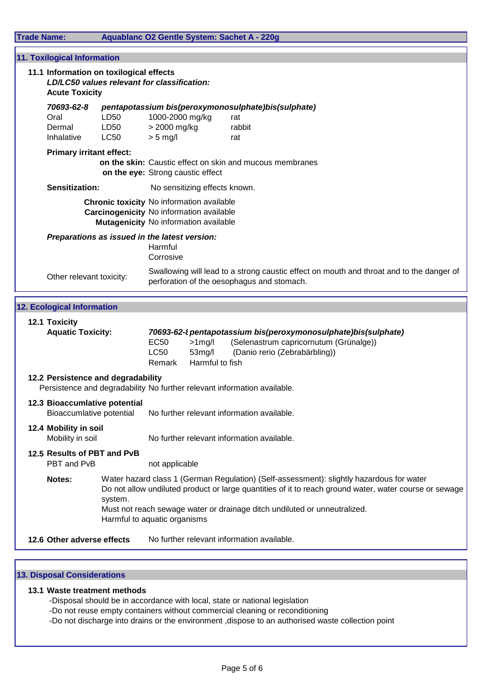| <b>Trade Name:</b>           |                                                                                                                 | Aquablanc O2 Gentle System: Sachet A - 220g                                                                                                                                                                                                                                                                     |
|------------------------------|-----------------------------------------------------------------------------------------------------------------|-----------------------------------------------------------------------------------------------------------------------------------------------------------------------------------------------------------------------------------------------------------------------------------------------------------------|
|                              | <b>11. Toxilogical Information</b>                                                                              |                                                                                                                                                                                                                                                                                                                 |
|                              | 11.1 Information on toxilogical effects<br>LD/LC50 values relevant for classification:<br><b>Acute Toxicity</b> |                                                                                                                                                                                                                                                                                                                 |
| Oral<br>Dermal<br>Inhalative | 70693-62-8<br>LD50<br>LD50<br><b>LC50</b>                                                                       | pentapotassium bis(peroxymonosulphate)bis(sulphate)<br>1000-2000 mg/kg<br>rat<br>> 2000 mg/kg<br>rabbit<br>$> 5$ mg/l<br>rat                                                                                                                                                                                    |
|                              | <b>Primary irritant effect:</b>                                                                                 | on the skin: Caustic effect on skin and mucous membranes<br>on the eye: Strong caustic effect                                                                                                                                                                                                                   |
|                              | <b>Sensitization:</b>                                                                                           | No sensitizing effects known.                                                                                                                                                                                                                                                                                   |
|                              |                                                                                                                 | <b>Chronic toxicity No information available</b><br>Carcinogenicity No information available<br>Mutagenicity No information available                                                                                                                                                                           |
|                              | Preparations as issued in the latest version:                                                                   | Harmful<br>Corrosive                                                                                                                                                                                                                                                                                            |
|                              | Other relevant toxicity:                                                                                        | Swallowing will lead to a strong caustic effect on mouth and throat and to the danger of<br>perforation of the oesophagus and stomach.                                                                                                                                                                          |
|                              | <b>12. Ecological Information</b>                                                                               |                                                                                                                                                                                                                                                                                                                 |
| 12.1 Toxicity                | <b>Aquatic Toxicity:</b>                                                                                        | 70693-62-t pentapotassium bis(peroxymonosulphate)bis(sulphate)<br>(Selenastrum capricornutum (Grünalge))<br><b>EC50</b><br>$>1$ mg/l<br><b>LC50</b><br>$53$ mg/l<br>(Danio rerio (Zebrabärbling))<br>Harmful to fish<br>Remark                                                                                  |
|                              | 12.2 Persistence and degradability                                                                              | Persistence and degradability No further relevant information available.                                                                                                                                                                                                                                        |
|                              | 12.3 Bioaccumlative potential<br>Bioaccumlative potential                                                       | No further relevant information available.                                                                                                                                                                                                                                                                      |
| 12.4 Mobility in soil        | Mobility in soil                                                                                                | No further relevant information available.                                                                                                                                                                                                                                                                      |
|                              | 12.5 Results of PBT and PvB<br>PBT and PvB                                                                      | not applicable                                                                                                                                                                                                                                                                                                  |
| Notes:                       | system.                                                                                                         | Water hazard class 1 (German Regulation) (Self-assessment): slightly hazardous for water<br>Do not allow undiluted product or large quantities of it to reach ground water, water course or sewage<br>Must not reach sewage water or drainage ditch undiluted or unneutralized.<br>Harmful to aquatic organisms |
|                              | 12.6 Other adverse effects                                                                                      | No further relevant information available.                                                                                                                                                                                                                                                                      |
|                              |                                                                                                                 |                                                                                                                                                                                                                                                                                                                 |

# **13. Disposal Considerations**

## **13.1 Waste treatment methods**

-Disposal should be in accordance with local, state or national legislation

- -Do not reuse empty containers without commercial cleaning or reconditioning
- -Do not discharge into drains or the environment ,dispose to an authorised waste collection point